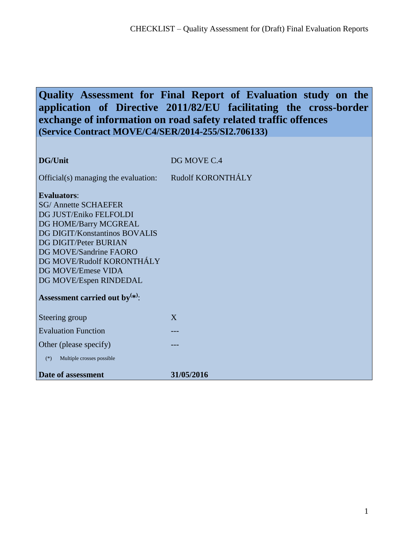|                                                     | Quality Assessment for Final Report of Evaluation study on the    |
|-----------------------------------------------------|-------------------------------------------------------------------|
|                                                     | application of Directive 2011/82/EU facilitating the cross-border |
| (Service Contract MOVE/C4/SER/2014-255/SI2.706133)  | exchange of information on road safety related traffic offences   |
|                                                     |                                                                   |
|                                                     |                                                                   |
| <b>DG/Unit</b>                                      | DG MOVE C.4                                                       |
| Official(s) managing the evaluation:                | Rudolf KORONTHÁLY                                                 |
| <b>Evaluators:</b>                                  |                                                                   |
| <b>SG/Annette SCHAEFER</b>                          |                                                                   |
| DG JUST/Eniko FELFOLDI                              |                                                                   |
| DG HOME/Barry MCGREAL                               |                                                                   |
| DG DIGIT/Konstantinos BOVALIS                       |                                                                   |
| <b>DG DIGIT/Peter BURIAN</b>                        |                                                                   |
| DG MOVE/Sandrine FAORO<br>DG MOVE/Rudolf KORONTHÁLY |                                                                   |
| DG MOVE/Emese VIDA                                  |                                                                   |
| DG MOVE/Espen RINDEDAL                              |                                                                   |
|                                                     |                                                                   |
| Assessment carried out by $(*)$ :                   |                                                                   |
| Steering group                                      | X                                                                 |
| <b>Evaluation Function</b>                          |                                                                   |
| Other (please specify)                              |                                                                   |
| Multiple crosses possible<br>$(*)$                  |                                                                   |
| Date of assessment                                  | 31/05/2016                                                        |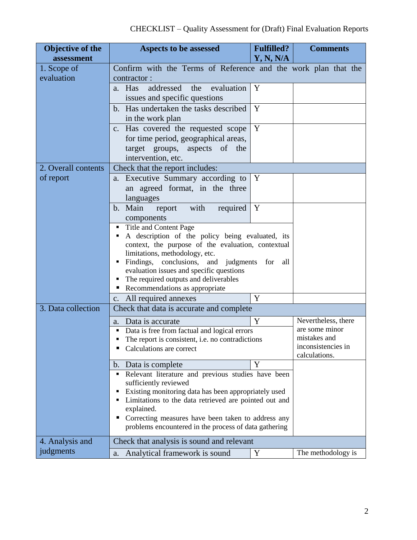| <b>Objective of the</b>   | Aspects to be assessed                                                          | <b>Fulfilled?</b>                   | <b>Comments</b>     |  |
|---------------------------|---------------------------------------------------------------------------------|-------------------------------------|---------------------|--|
| assessment                | Y, N, N/A                                                                       |                                     |                     |  |
| 1. Scope of<br>evaluation | Confirm with the Terms of Reference and the work plan that the<br>contractor:   |                                     |                     |  |
|                           | addressed<br>the<br>evaluation<br>a. Has                                        | Y                                   |                     |  |
|                           | issues and specific questions                                                   |                                     |                     |  |
|                           | b. Has undertaken the tasks described                                           | Y                                   |                     |  |
|                           | in the work plan                                                                |                                     |                     |  |
|                           | Has covered the requested scope<br>$C_{\bullet}$                                | Y                                   |                     |  |
|                           | for time period, geographical areas,                                            |                                     |                     |  |
|                           | target groups, aspects of the                                                   |                                     |                     |  |
|                           | intervention, etc.                                                              |                                     |                     |  |
| 2. Overall contents       | Check that the report includes:                                                 |                                     |                     |  |
|                           |                                                                                 | Y                                   |                     |  |
| of report                 | Executive Summary according to<br>a.                                            |                                     |                     |  |
|                           | an agreed format, in the three                                                  |                                     |                     |  |
|                           | languages                                                                       |                                     |                     |  |
|                           | with<br>b. Main<br>required<br>report                                           | Y                                   |                     |  |
|                           | components                                                                      |                                     |                     |  |
|                           | Title and Content Page<br>٠<br>A description of the policy being evaluated, its |                                     |                     |  |
|                           | context, the purpose of the evaluation, contextual                              |                                     |                     |  |
|                           | limitations, methodology, etc.                                                  |                                     |                     |  |
|                           | Findings, conclusions, and judgments for<br>٠                                   |                                     |                     |  |
|                           | evaluation issues and specific questions                                        |                                     |                     |  |
|                           | The required outputs and deliverables<br>٠                                      |                                     |                     |  |
|                           | Recommendations as appropriate                                                  |                                     |                     |  |
|                           | c. All required annexes                                                         | Y                                   |                     |  |
| 3. Data collection        | Check that data is accurate and complete                                        |                                     |                     |  |
|                           | Data is accurate<br>a.                                                          | Y                                   | Nevertheless, there |  |
|                           | Data is free from factual and logical errors<br>$\blacksquare$                  | are some minor                      |                     |  |
|                           | The report is consistent, i.e. no contradictions                                | mistakes and                        |                     |  |
|                           | Calculations are correct                                                        | inconsistencies in<br>calculations. |                     |  |
|                           | Data is complete<br>b.                                                          | Y                                   |                     |  |
|                           | Relevant literature and previous studies have been<br>٠                         |                                     |                     |  |
|                           | sufficiently reviewed                                                           |                                     |                     |  |
|                           | Existing monitoring data has been appropriately used<br>٠<br>٠                  |                                     |                     |  |
|                           | Limitations to the data retrieved are pointed out and<br>explained.             |                                     |                     |  |
|                           | Correcting measures have been taken to address any<br>п                         |                                     |                     |  |
|                           | problems encountered in the process of data gathering                           |                                     |                     |  |
|                           |                                                                                 |                                     |                     |  |
| 4. Analysis and           | Check that analysis is sound and relevant                                       |                                     |                     |  |
| judgments                 | Analytical framework is sound<br>a.                                             | Y                                   | The methodology is  |  |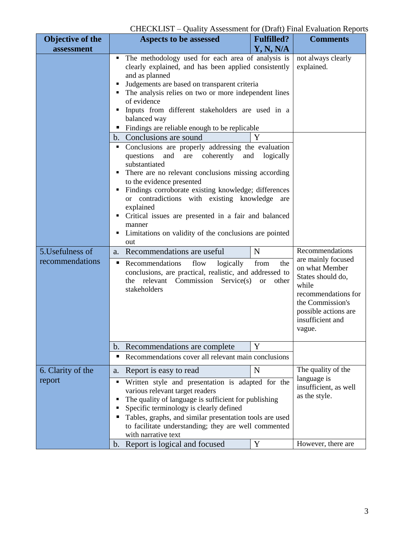| <b>Objective of the</b> | Aspects to be assessed                                                                                                                                                                                                                                                                                                                                                                                                                                                             | <b>Fulfilled?</b>                                                                                                                                                   | <b>Comments</b>                                       |
|-------------------------|------------------------------------------------------------------------------------------------------------------------------------------------------------------------------------------------------------------------------------------------------------------------------------------------------------------------------------------------------------------------------------------------------------------------------------------------------------------------------------|---------------------------------------------------------------------------------------------------------------------------------------------------------------------|-------------------------------------------------------|
| assessment              |                                                                                                                                                                                                                                                                                                                                                                                                                                                                                    | Y, N, N/A                                                                                                                                                           |                                                       |
|                         | The methodology used for each area of analysis is<br>clearly explained, and has been applied consistently<br>and as planned<br>Judgements are based on transparent criteria<br>٠<br>• The analysis relies on two or more independent lines<br>of evidence<br>Inputs from different stakeholders are used in a<br>٠<br>balanced way<br>Findings are reliable enough to be replicable<br>п                                                                                           | not always clearly<br>explained.                                                                                                                                    |                                                       |
|                         | b. Conclusions are sound                                                                                                                                                                                                                                                                                                                                                                                                                                                           | Y                                                                                                                                                                   |                                                       |
|                         | • Conclusions are properly addressing the evaluation<br>coherently<br>questions<br>and<br>and<br>are<br>substantiated<br>There are no relevant conclusions missing according<br>٠<br>to the evidence presented<br>Findings corroborate existing knowledge; differences<br>٠<br>or contradictions with existing knowledge<br>explained<br>Critical issues are presented in a fair and balanced<br>٠<br>manner<br>Limitations on validity of the conclusions are pointed<br>٠<br>out |                                                                                                                                                                     |                                                       |
| 5. Usefulness of        | Recommendations are useful<br>a.                                                                                                                                                                                                                                                                                                                                                                                                                                                   | N                                                                                                                                                                   | Recommendations                                       |
| recommendations         | Recommendations<br>flow<br>logically<br>п<br>conclusions, are practical, realistic, and addressed to<br>the relevant Commission<br>Service(s)<br>stakeholders                                                                                                                                                                                                                                                                                                                      | are mainly focused<br>on what Member<br>States should do,<br>while<br>recommendations for<br>the Commission's<br>possible actions are<br>insufficient and<br>vague. |                                                       |
|                         | Recommendations are complete<br>b.                                                                                                                                                                                                                                                                                                                                                                                                                                                 | Y                                                                                                                                                                   |                                                       |
|                         | Recommendations cover all relevant main conclusions<br>п                                                                                                                                                                                                                                                                                                                                                                                                                           |                                                                                                                                                                     |                                                       |
| 6. Clarity of the       | Report is easy to read<br>a.                                                                                                                                                                                                                                                                                                                                                                                                                                                       | N                                                                                                                                                                   | The quality of the                                    |
| report                  | Written style and presentation is adapted for the<br>٠<br>various relevant target readers<br>The quality of language is sufficient for publishing<br>٠<br>Specific terminology is clearly defined<br>٠<br>Tables, graphs, and similar presentation tools are used<br>to facilitate understanding; they are well commented<br>with narrative text                                                                                                                                   |                                                                                                                                                                     | language is<br>insufficient, as well<br>as the style. |
|                         | b. Report is logical and focused                                                                                                                                                                                                                                                                                                                                                                                                                                                   | Y                                                                                                                                                                   | However, there are                                    |